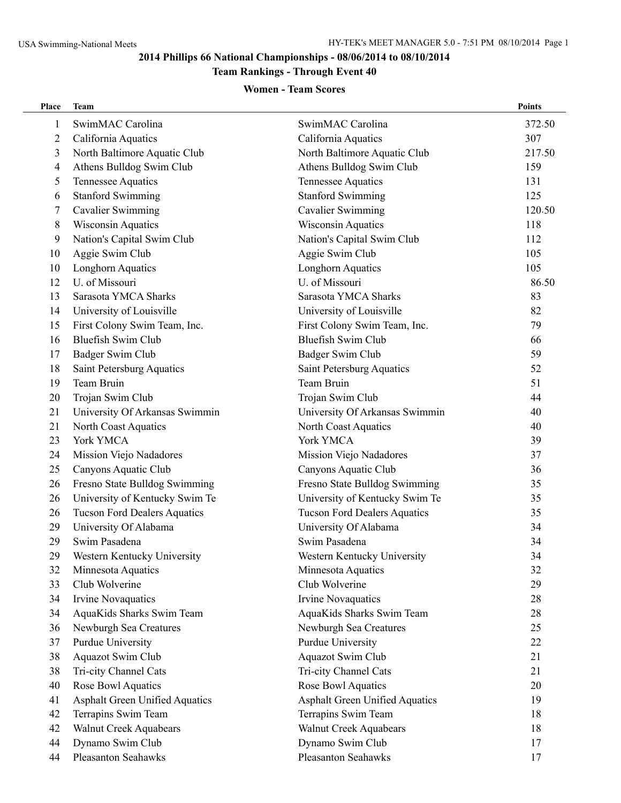# **Team Rankings - Through Event 40**

#### **Women - Team Scores**

| Place          | <b>Team</b>                           |                                       | <b>Points</b> |
|----------------|---------------------------------------|---------------------------------------|---------------|
| 1              | SwimMAC Carolina                      | SwimMAC Carolina                      | 372.50        |
| 2              | California Aquatics                   | California Aquatics                   | 307           |
| 3              | North Baltimore Aquatic Club          | North Baltimore Aquatic Club          | 217.50        |
| $\overline{4}$ | Athens Bulldog Swim Club              | Athens Bulldog Swim Club              | 159           |
| 5              | Tennessee Aquatics                    | Tennessee Aquatics                    | 131           |
| 6              | <b>Stanford Swimming</b>              | <b>Stanford Swimming</b>              | 125           |
| 7              | <b>Cavalier Swimming</b>              | <b>Cavalier Swimming</b>              | 120.50        |
| 8              | <b>Wisconsin Aquatics</b>             | <b>Wisconsin Aquatics</b>             | 118           |
| 9              | Nation's Capital Swim Club            | Nation's Capital Swim Club            | 112           |
| 10             | Aggie Swim Club                       | Aggie Swim Club                       | 105           |
| 10             | <b>Longhorn Aquatics</b>              | <b>Longhorn Aquatics</b>              | 105           |
| 12             | U. of Missouri                        | U. of Missouri                        | 86.50         |
| 13             | Sarasota YMCA Sharks                  | Sarasota YMCA Sharks                  | 83            |
| 14             | University of Louisville              | University of Louisville              | 82            |
| 15             | First Colony Swim Team, Inc.          | First Colony Swim Team, Inc.          | 79            |
| 16             | <b>Bluefish Swim Club</b>             | <b>Bluefish Swim Club</b>             | 66            |
| 17             | Badger Swim Club                      | Badger Swim Club                      | 59            |
| 18             | Saint Petersburg Aquatics             | Saint Petersburg Aquatics             | 52            |
| 19             | Team Bruin                            | Team Bruin                            | 51            |
| 20             | Trojan Swim Club                      | Trojan Swim Club                      | 44            |
| 21             | University Of Arkansas Swimmin        | University Of Arkansas Swimmin        | 40            |
| 21             | North Coast Aquatics                  | North Coast Aquatics                  | 40            |
| 23             | York YMCA                             | York YMCA                             | 39            |
| 24             | Mission Viejo Nadadores               | Mission Viejo Nadadores               | 37            |
| 25             | Canyons Aquatic Club                  | Canyons Aquatic Club                  | 36            |
| 26             | Fresno State Bulldog Swimming         | Fresno State Bulldog Swimming         | 35            |
| 26             | University of Kentucky Swim Te        | University of Kentucky Swim Te        | 35            |
| 26             | <b>Tucson Ford Dealers Aquatics</b>   | <b>Tucson Ford Dealers Aquatics</b>   | 35            |
| 29             | University Of Alabama                 | University Of Alabama                 | 34            |
| 29             | Swim Pasadena                         | Swim Pasadena                         | 34            |
| 29             | Western Kentucky University           | Western Kentucky University           | 34            |
| 32             | Minnesota Aquatics                    | Minnesota Aquatics                    | 32            |
| 33             | Club Wolverine                        | Club Wolverine                        | 29            |
| 34             | Irvine Novaquatics                    | Irvine Novaquatics                    | 28            |
| 34             | AquaKids Sharks Swim Team             | AquaKids Sharks Swim Team             | 28            |
| 36             | Newburgh Sea Creatures                | Newburgh Sea Creatures                | 25            |
| 37             | Purdue University                     | Purdue University                     | 22            |
| 38             | Aquazot Swim Club                     | Aquazot Swim Club                     | 21            |
| 38             | Tri-city Channel Cats                 | Tri-city Channel Cats                 | 21            |
| 40             | Rose Bowl Aquatics                    | Rose Bowl Aquatics                    | 20            |
| 41             | <b>Asphalt Green Unified Aquatics</b> | <b>Asphalt Green Unified Aquatics</b> | 19            |
| 42             | Terrapins Swim Team                   | Terrapins Swim Team                   | 18            |
| 42             | Walnut Creek Aquabears                | <b>Walnut Creek Aquabears</b>         | 18            |
| 44             | Dynamo Swim Club                      | Dynamo Swim Club                      | 17            |
| 44             | Pleasanton Seahawks                   | Pleasanton Seahawks                   | 17            |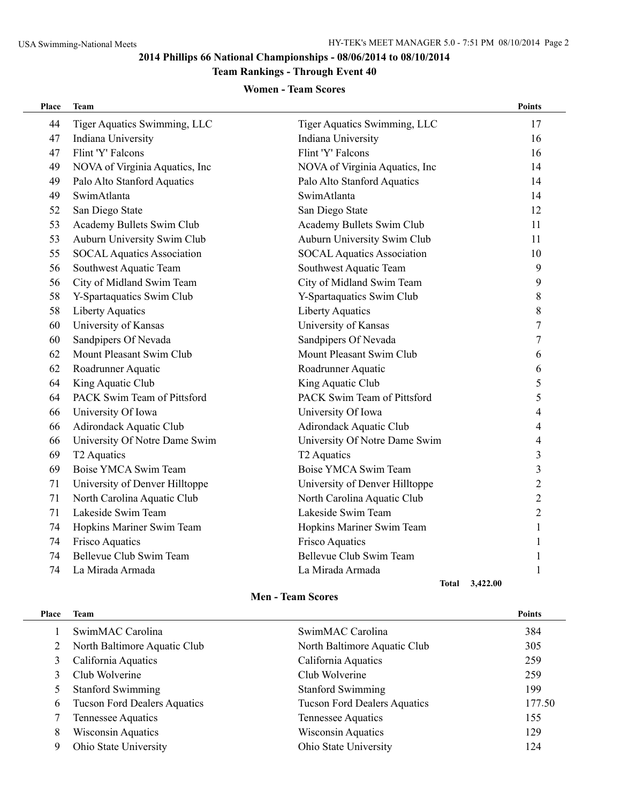# **Team Rankings - Through Event 40**

#### **Women - Team Scores**

| Place | Team                              |                                   | <b>Points</b>  |
|-------|-----------------------------------|-----------------------------------|----------------|
| 44    | Tiger Aquatics Swimming, LLC      | Tiger Aquatics Swimming, LLC      | 17             |
| 47    | Indiana University                | Indiana University                | 16             |
| 47    | Flint 'Y' Falcons                 | Flint 'Y' Falcons                 | 16             |
| 49    | NOVA of Virginia Aquatics, Inc    | NOVA of Virginia Aquatics, Inc    | 14             |
| 49    | Palo Alto Stanford Aquatics       | Palo Alto Stanford Aquatics       | 14             |
| 49    | SwimAtlanta                       | SwimAtlanta                       | 14             |
| 52    | San Diego State                   | San Diego State                   | 12             |
| 53    | Academy Bullets Swim Club         | Academy Bullets Swim Club         | 11             |
| 53    | Auburn University Swim Club       | Auburn University Swim Club       | 11             |
| 55    | <b>SOCAL Aquatics Association</b> | <b>SOCAL Aquatics Association</b> | 10             |
| 56    | Southwest Aquatic Team            | Southwest Aquatic Team            | 9              |
| 56    | City of Midland Swim Team         | City of Midland Swim Team         | 9              |
| 58    | Y-Spartaquatics Swim Club         | Y-Spartaquatics Swim Club         | 8              |
| 58    | <b>Liberty Aquatics</b>           | <b>Liberty Aquatics</b>           | 8              |
| 60    | University of Kansas              | University of Kansas              | 7              |
| 60    | Sandpipers Of Nevada              | Sandpipers Of Nevada              | 7              |
| 62    | Mount Pleasant Swim Club          | Mount Pleasant Swim Club          | 6              |
| 62    | Roadrunner Aquatic                | Roadrunner Aquatic                | 6              |
| 64    | King Aquatic Club                 | King Aquatic Club                 | 5              |
| 64    | PACK Swim Team of Pittsford       | PACK Swim Team of Pittsford       | 5              |
| 66    | University Of Iowa                | University Of Iowa                | 4              |
| 66    | Adirondack Aquatic Club           | <b>Adirondack Aquatic Club</b>    | 4              |
| 66    | University Of Notre Dame Swim     | University Of Notre Dame Swim     | 4              |
| 69    | T <sub>2</sub> Aquatics           | T <sub>2</sub> Aquatics           | 3              |
| 69    | Boise YMCA Swim Team              | Boise YMCA Swim Team              | 3              |
| 71    | University of Denver Hilltoppe    | University of Denver Hilltoppe    | $\overline{2}$ |
| 71    | North Carolina Aquatic Club       | North Carolina Aquatic Club       | $\overline{2}$ |
| 71    | Lakeside Swim Team                | Lakeside Swim Team                | $\overline{2}$ |
| 74    | Hopkins Mariner Swim Team         | Hopkins Mariner Swim Team         | 1              |
| 74    | Frisco Aquatics                   | Frisco Aquatics                   | 1              |
| 74    | Bellevue Club Swim Team           | Bellevue Club Swim Team           | 1              |
| 74    | La Mirada Armada                  | La Mirada Armada                  | 1              |
|       |                                   | Total 3.422.00                    |                |

#### **Men - Team Scores**

| Place | Team                                |                                     | <b>Points</b> |
|-------|-------------------------------------|-------------------------------------|---------------|
|       | SwimMAC Carolina                    | SwimMAC Carolina                    | 384           |
|       | North Baltimore Aquatic Club        | North Baltimore Aquatic Club        | 305           |
|       | California Aquatics                 | California Aquatics                 | 259           |
|       | Club Wolverine                      | Club Wolverine                      | 259           |
|       | <b>Stanford Swimming</b>            | <b>Stanford Swimming</b>            | 199           |
| 6     | <b>Tucson Ford Dealers Aquatics</b> | <b>Tucson Ford Dealers Aquatics</b> | 177.50        |
|       | Tennessee Aquatics                  | Tennessee Aquatics                  | 155           |
| 8     | <b>Wisconsin Aquatics</b>           | <b>Wisconsin Aquatics</b>           | 129           |
| 9     | Ohio State University               | Ohio State University               | 124           |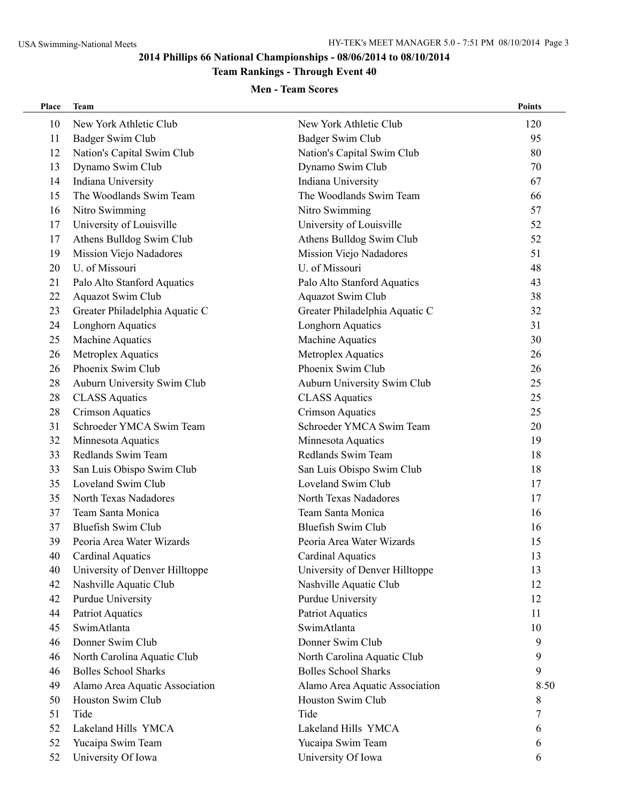# **Team Rankings - Through Event 40**

### **Men - Team Scores**

| Place | Team                           |                                | <b>Points</b> |
|-------|--------------------------------|--------------------------------|---------------|
| 10    | New York Athletic Club         | New York Athletic Club         | 120           |
| 11    | Badger Swim Club               | Badger Swim Club               | 95            |
| 12    | Nation's Capital Swim Club     | Nation's Capital Swim Club     | 80            |
| 13    | Dynamo Swim Club               | Dynamo Swim Club               | 70            |
| 14    | Indiana University             | Indiana University             | 67            |
| 15    | The Woodlands Swim Team        | The Woodlands Swim Team        | 66            |
| 16    | Nitro Swimming                 | Nitro Swimming                 | 57            |
| 17    | University of Louisville       | University of Louisville       | 52            |
| 17    | Athens Bulldog Swim Club       | Athens Bulldog Swim Club       | 52            |
| 19    | Mission Viejo Nadadores        | Mission Viejo Nadadores        | 51            |
| 20    | U. of Missouri                 | U. of Missouri                 | 48            |
| 21    | Palo Alto Stanford Aquatics    | Palo Alto Stanford Aquatics    | 43            |
| 22    | Aquazot Swim Club              | <b>Aquazot Swim Club</b>       | 38            |
| 23    | Greater Philadelphia Aquatic C | Greater Philadelphia Aquatic C | 32            |
| 24    | Longhorn Aquatics              | <b>Longhorn Aquatics</b>       | 31            |
| 25    | <b>Machine Aquatics</b>        | <b>Machine Aquatics</b>        | 30            |
| 26    | Metroplex Aquatics             | Metroplex Aquatics             | 26            |
| 26    | Phoenix Swim Club              | Phoenix Swim Club              | 26            |
| 28    | Auburn University Swim Club    | Auburn University Swim Club    | 25            |
| 28    | <b>CLASS Aquatics</b>          | <b>CLASS Aquatics</b>          | 25            |
| 28    | <b>Crimson Aquatics</b>        | <b>Crimson Aquatics</b>        | 25            |
| 31    | Schroeder YMCA Swim Team       | Schroeder YMCA Swim Team       | 20            |
| 32    | Minnesota Aquatics             | Minnesota Aquatics             | 19            |
| 33    | Redlands Swim Team             | Redlands Swim Team             | 18            |
| 33    | San Luis Obispo Swim Club      | San Luis Obispo Swim Club      | 18            |
| 35    | Loveland Swim Club             | Loveland Swim Club             | 17            |
| 35    | North Texas Nadadores          | North Texas Nadadores          | 17            |
| 37    | Team Santa Monica              | Team Santa Monica              | 16            |
| 37    | <b>Bluefish Swim Club</b>      | <b>Bluefish Swim Club</b>      | 16            |
| 39    | Peoria Area Water Wizards      | Peoria Area Water Wizards      | 15            |
| 40    | Cardinal Aquatics              | Cardinal Aquatics              | 13            |
| 40    | University of Denver Hilltoppe | University of Denver Hilltoppe | 13            |
| 42    | Nashville Aquatic Club         | Nashville Aquatic Club         | 12            |
| 42    | Purdue University              | Purdue University              | 12            |
| 44    | Patriot Aquatics               | Patriot Aquatics               | 11            |
| 45    | SwimAtlanta                    | SwimAtlanta                    | 10            |
| 46    | Donner Swim Club               | Donner Swim Club               | 9             |
| 46    | North Carolina Aquatic Club    | North Carolina Aquatic Club    | 9             |
| 46    | <b>Bolles School Sharks</b>    | <b>Bolles School Sharks</b>    | 9             |
| 49    | Alamo Area Aquatic Association | Alamo Area Aquatic Association | 8.50          |
| 50    | Houston Swim Club              | Houston Swim Club              | 8             |
| 51    | Tide                           | Tide                           | 7             |
| 52    | Lakeland Hills YMCA            | Lakeland Hills YMCA            | 6             |
| 52    | Yucaipa Swim Team              | Yucaipa Swim Team              | 6             |
| 52    | University Of Iowa             | University Of Iowa             | 6             |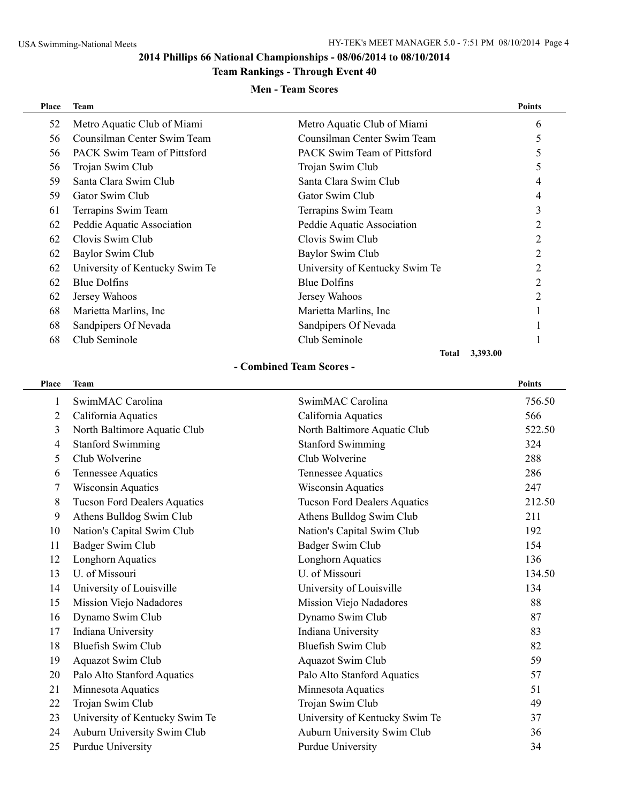# **Team Rankings - Through Event 40**

#### **Men - Team Scores**

| Place | <b>Team</b>                    |                                | <b>Points</b> |
|-------|--------------------------------|--------------------------------|---------------|
| 52    | Metro Aquatic Club of Miami    | Metro Aquatic Club of Miami    | 6             |
| 56    | Counsilman Center Swim Team    | Counsilman Center Swim Team    | 5             |
| 56    | PACK Swim Team of Pittsford    | PACK Swim Team of Pittsford    |               |
| 56    | Trojan Swim Club               | Trojan Swim Club               | C             |
| 59    | Santa Clara Swim Club          | Santa Clara Swim Club          |               |
| 59    | Gator Swim Club                | Gator Swim Club                |               |
| 61    | Terrapins Swim Team            | Terrapins Swim Team            | 3             |
| 62    | Peddie Aquatic Association     | Peddie Aquatic Association     | 2             |
| 62    | Clovis Swim Club               | Clovis Swim Club               | 2             |
| 62    | Baylor Swim Club               | Baylor Swim Club               | 2             |
| 62    | University of Kentucky Swim Te | University of Kentucky Swim Te | 2             |
| 62    | Blue Dolfins                   | <b>Blue Dolfins</b>            |               |
| 62    | Jersey Wahoos                  | Jersey Wahoos                  |               |
| 68    | Marietta Marlins, Inc.         | Marietta Marlins, Inc.         |               |
| 68    | Sandpipers Of Nevada           | Sandpipers Of Nevada           |               |
| 68    | Club Seminole                  | Club Seminole                  |               |
|       |                                | 3,393.00<br><b>Total</b>       |               |

#### **- Combined Team Scores -**

| Place | <b>Team</b>                         |                                     | Points |
|-------|-------------------------------------|-------------------------------------|--------|
| 1     | SwimMAC Carolina                    | SwimMAC Carolina                    | 756.50 |
| 2     | California Aquatics                 | California Aquatics                 | 566    |
| 3     | North Baltimore Aquatic Club        | North Baltimore Aquatic Club        | 522.50 |
| 4     | <b>Stanford Swimming</b>            | <b>Stanford Swimming</b>            | 324    |
| 5     | Club Wolverine                      | Club Wolverine                      | 288    |
| 6     | Tennessee Aquatics                  | Tennessee Aquatics                  | 286    |
| 7     | <b>Wisconsin Aquatics</b>           | <b>Wisconsin Aquatics</b>           | 247    |
| 8     | <b>Tucson Ford Dealers Aquatics</b> | <b>Tucson Ford Dealers Aquatics</b> | 212.50 |
| 9     | Athens Bulldog Swim Club            | Athens Bulldog Swim Club            | 211    |
| 10    | Nation's Capital Swim Club          | Nation's Capital Swim Club          | 192    |
| 11    | Badger Swim Club                    | Badger Swim Club                    | 154    |
| 12    | Longhorn Aquatics                   | Longhorn Aquatics                   | 136    |
| 13    | U. of Missouri                      | U. of Missouri                      | 134.50 |
| 14    | University of Louisville            | University of Louisville            | 134    |
| 15    | Mission Viejo Nadadores             | Mission Viejo Nadadores             | 88     |
| 16    | Dynamo Swim Club                    | Dynamo Swim Club                    | 87     |
| 17    | Indiana University                  | Indiana University                  | 83     |
| 18    | <b>Bluefish Swim Club</b>           | <b>Bluefish Swim Club</b>           | 82     |
| 19    | Aquazot Swim Club                   | Aquazot Swim Club                   | 59     |
| 20    | Palo Alto Stanford Aquatics         | Palo Alto Stanford Aquatics         | 57     |
| 21    | Minnesota Aquatics                  | Minnesota Aquatics                  | 51     |
| 22    | Trojan Swim Club                    | Trojan Swim Club                    | 49     |
| 23    | University of Kentucky Swim Te      | University of Kentucky Swim Te      | 37     |
| 24    | Auburn University Swim Club         | Auburn University Swim Club         | 36     |
| 25    | Purdue University                   | Purdue University                   | 34     |